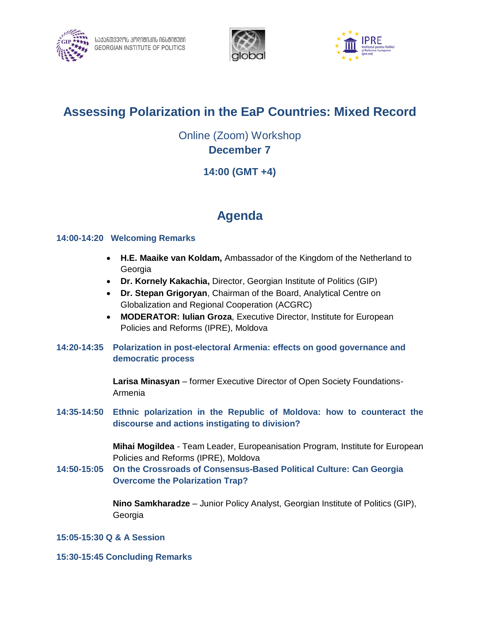





## **Assessing Polarization in the EaP Countries: Mixed Record**

Online (Zoom) Workshop **December 7**

### **14:00 (GMT +4)**

# **Agenda**

#### **14:00-14:20 Welcoming Remarks**

- **H.E. Maaike van Koldam,** Ambassador of the Kingdom of the Netherland to Georgia
- **Dr. Kornely Kakachia,** Director, Georgian Institute of Politics (GIP)
- **Dr. Stepan Grigoryan**, Chairman of the Board, Analytical Centre on Globalization and Regional Cooperation (ACGRC)
- **MODERATOR: Iulian Groza**, Executive Director, Institute for European Policies and Reforms (IPRE), Moldova
- **14:20-14:35 Polarization in post-electoral Armenia: effects on good governance and democratic process**

**Larisa Minasyan** – former Executive Director of Open Society Foundations-Armenia

**14:35-14:50 Ethnic polarization in the Republic of Moldova: how to counteract the discourse and actions instigating to division?**

> **Mihai Mogildea** - Team Leader, Europeanisation Program, Institute for European Policies and Reforms (IPRE), Moldova

**14:50-15:05 On the Crossroads of Consensus-Based Political Culture: Can Georgia Overcome the Polarization Trap?**

> **Nino Samkharadze** – Junior Policy Analyst, Georgian Institute of Politics (GIP), Georgia

- **15:05-15:30 Q & A Session**
- **15:30-15:45 Concluding Remarks**